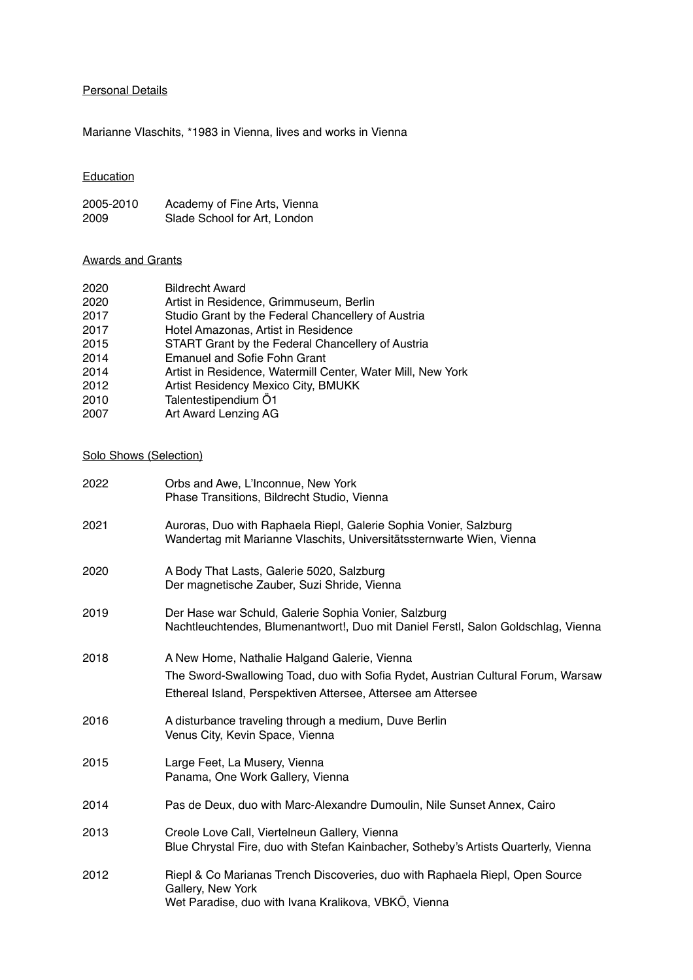## Personal Details

Marianne Vlaschits, \*1983 in Vienna, lives and works in Vienna

# Education

| 2005-2010 | Academy of Fine Arts, Vienna |
|-----------|------------------------------|
| 2009      | Slade School for Art, London |

### Awards and Grants

| 2020 | <b>Bildrecht Award</b>                                      |
|------|-------------------------------------------------------------|
| 2020 | Artist in Residence, Grimmuseum, Berlin                     |
| 2017 | Studio Grant by the Federal Chancellery of Austria          |
| 2017 | Hotel Amazonas, Artist in Residence                         |
| 2015 | START Grant by the Federal Chancellery of Austria           |
| 2014 | <b>Emanuel and Sofie Fohn Grant</b>                         |
| 2014 | Artist in Residence, Watermill Center, Water Mill, New York |
| 2012 | Artist Residency Mexico City, BMUKK                         |
| 2010 | Talentestipendium Ö1                                        |
| 2007 | Art Award Lenzing AG                                        |

# Solo Shows (Selection)

| 2022 | Orbs and Awe, L'Inconnue, New York<br>Phase Transitions, Bildrecht Studio, Vienna                                                                                                                |
|------|--------------------------------------------------------------------------------------------------------------------------------------------------------------------------------------------------|
| 2021 | Auroras, Duo with Raphaela Riepl, Galerie Sophia Vonier, Salzburg<br>Wandertag mit Marianne Vlaschits, Universitätssternwarte Wien, Vienna                                                       |
| 2020 | A Body That Lasts, Galerie 5020, Salzburg<br>Der magnetische Zauber, Suzi Shride, Vienna                                                                                                         |
| 2019 | Der Hase war Schuld, Galerie Sophia Vonier, Salzburg<br>Nachtleuchtendes, Blumenantwort!, Duo mit Daniel Ferstl, Salon Goldschlag, Vienna                                                        |
| 2018 | A New Home, Nathalie Halgand Galerie, Vienna<br>The Sword-Swallowing Toad, duo with Sofia Rydet, Austrian Cultural Forum, Warsaw<br>Ethereal Island, Perspektiven Attersee, Attersee am Attersee |
| 2016 | A disturbance traveling through a medium, Duve Berlin<br>Venus City, Kevin Space, Vienna                                                                                                         |
| 2015 | Large Feet, La Musery, Vienna<br>Panama, One Work Gallery, Vienna                                                                                                                                |
| 2014 | Pas de Deux, duo with Marc-Alexandre Dumoulin, Nile Sunset Annex, Cairo                                                                                                                          |
| 2013 | Creole Love Call, Viertelneun Gallery, Vienna<br>Blue Chrystal Fire, duo with Stefan Kainbacher, Sotheby's Artists Quarterly, Vienna                                                             |
| 2012 | Riepl & Co Marianas Trench Discoveries, duo with Raphaela Riepl, Open Source<br>Gallery, New York<br>Wet Paradise, duo with Ivana Kralikova, VBKÖ, Vienna                                        |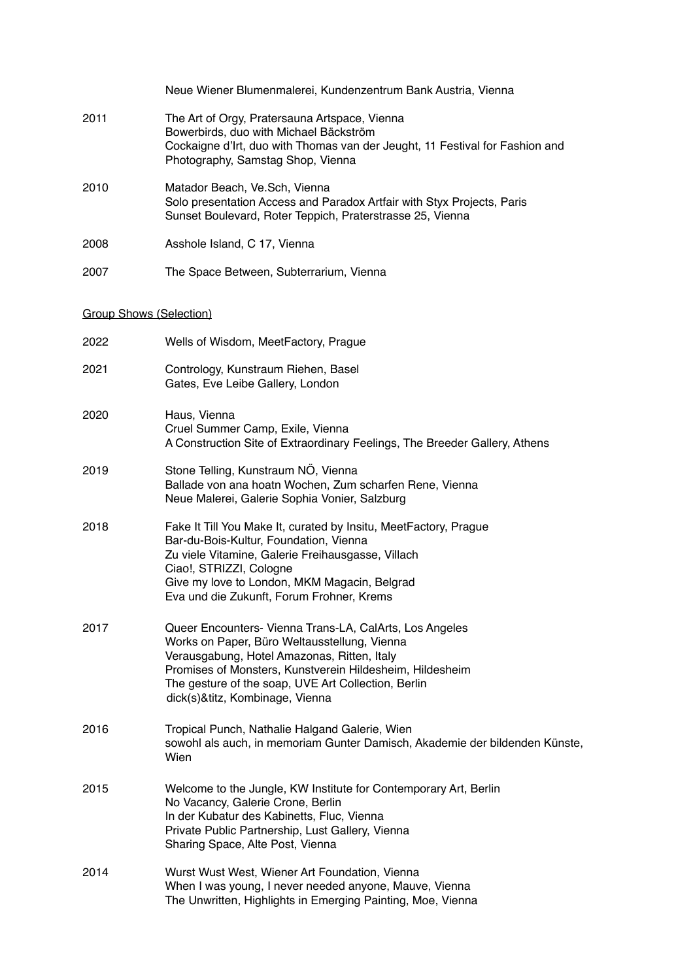|                                | Neue Wiener Blumenmalerei, Kundenzentrum Bank Austria, Vienna                                                                                                                                                                                                                                                |
|--------------------------------|--------------------------------------------------------------------------------------------------------------------------------------------------------------------------------------------------------------------------------------------------------------------------------------------------------------|
| 2011                           | The Art of Orgy, Pratersauna Artspace, Vienna<br>Bowerbirds, duo with Michael Bäckström<br>Cockaigne d'Irt, duo with Thomas van der Jeught, 11 Festival for Fashion and<br>Photography, Samstag Shop, Vienna                                                                                                 |
| 2010                           | Matador Beach, Ve.Sch, Vienna<br>Solo presentation Access and Paradox Artfair with Styx Projects, Paris<br>Sunset Boulevard, Roter Teppich, Praterstrasse 25, Vienna                                                                                                                                         |
| 2008                           | Asshole Island, C 17, Vienna                                                                                                                                                                                                                                                                                 |
| 2007                           | The Space Between, Subterrarium, Vienna                                                                                                                                                                                                                                                                      |
| <b>Group Shows (Selection)</b> |                                                                                                                                                                                                                                                                                                              |
| 2022                           | Wells of Wisdom, MeetFactory, Prague                                                                                                                                                                                                                                                                         |
| 2021                           | Contrology, Kunstraum Riehen, Basel<br>Gates, Eve Leibe Gallery, London                                                                                                                                                                                                                                      |
| 2020                           | Haus, Vienna<br>Cruel Summer Camp, Exile, Vienna<br>A Construction Site of Extraordinary Feelings, The Breeder Gallery, Athens                                                                                                                                                                               |
| 2019                           | Stone Telling, Kunstraum NÖ, Vienna<br>Ballade von ana hoatn Wochen, Zum scharfen Rene, Vienna<br>Neue Malerei, Galerie Sophia Vonier, Salzburg                                                                                                                                                              |
| 2018                           | Fake It Till You Make It, curated by Insitu, MeetFactory, Prague<br>Bar-du-Bois-Kultur, Foundation, Vienna<br>Zu viele Vitamine, Galerie Freihausgasse, Villach<br>Ciao!, STRIZZI, Cologne<br>Give my love to London, MKM Magacin, Belgrad<br>Eva und die Zukunft, Forum Frohner, Krems                      |
| 2017                           | Queer Encounters- Vienna Trans-LA, CalArts, Los Angeles<br>Works on Paper, Büro Weltausstellung, Vienna<br>Verausgabung, Hotel Amazonas, Ritten, Italy<br>Promises of Monsters, Kunstverein Hildesheim, Hildesheim<br>The gesture of the soap, UVE Art Collection, Berlin<br>dick(s)&titz, Kombinage, Vienna |
| 2016                           | Tropical Punch, Nathalie Halgand Galerie, Wien<br>sowohl als auch, in memoriam Gunter Damisch, Akademie der bildenden Künste,<br>Wien                                                                                                                                                                        |
| 2015                           | Welcome to the Jungle, KW Institute for Contemporary Art, Berlin<br>No Vacancy, Galerie Crone, Berlin<br>In der Kubatur des Kabinetts, Fluc, Vienna<br>Private Public Partnership, Lust Gallery, Vienna<br>Sharing Space, Alte Post, Vienna                                                                  |
| 2014                           | Wurst Wust West, Wiener Art Foundation, Vienna<br>When I was young, I never needed anyone, Mauve, Vienna<br>The Unwritten, Highlights in Emerging Painting, Moe, Vienna                                                                                                                                      |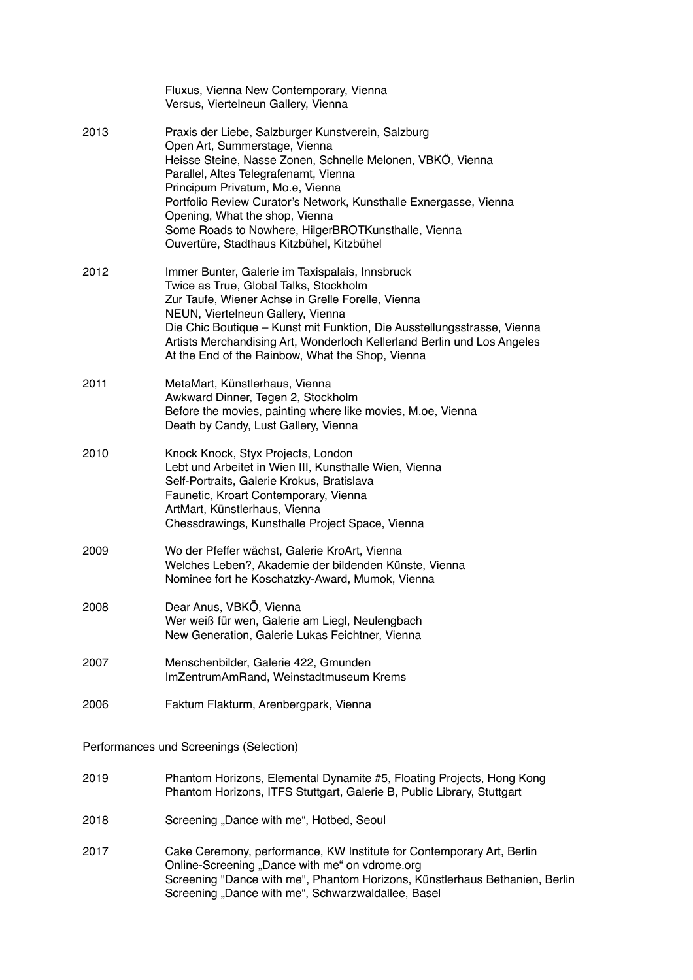|      | Fluxus, Vienna New Contemporary, Vienna<br>Versus, Viertelneun Gallery, Vienna                                                                                                                                                                                                                                                                                                                                                            |
|------|-------------------------------------------------------------------------------------------------------------------------------------------------------------------------------------------------------------------------------------------------------------------------------------------------------------------------------------------------------------------------------------------------------------------------------------------|
| 2013 | Praxis der Liebe, Salzburger Kunstverein, Salzburg<br>Open Art, Summerstage, Vienna<br>Heisse Steine, Nasse Zonen, Schnelle Melonen, VBKÖ, Vienna<br>Parallel, Altes Telegrafenamt, Vienna<br>Principum Privatum, Mo.e, Vienna<br>Portfolio Review Curator's Network, Kunsthalle Exnergasse, Vienna<br>Opening, What the shop, Vienna<br>Some Roads to Nowhere, HilgerBROTKunsthalle, Vienna<br>Ouvertüre, Stadthaus Kitzbühel, Kitzbühel |
| 2012 | Immer Bunter, Galerie im Taxispalais, Innsbruck<br>Twice as True, Global Talks, Stockholm<br>Zur Taufe, Wiener Achse in Grelle Forelle, Vienna<br>NEUN, Viertelneun Gallery, Vienna<br>Die Chic Boutique - Kunst mit Funktion, Die Ausstellungsstrasse, Vienna<br>Artists Merchandising Art, Wonderloch Kellerland Berlin und Los Angeles<br>At the End of the Rainbow, What the Shop, Vienna                                             |
| 2011 | MetaMart, Künstlerhaus, Vienna<br>Awkward Dinner, Tegen 2, Stockholm<br>Before the movies, painting where like movies, M.oe, Vienna<br>Death by Candy, Lust Gallery, Vienna                                                                                                                                                                                                                                                               |
| 2010 | Knock Knock, Styx Projects, London<br>Lebt und Arbeitet in Wien III, Kunsthalle Wien, Vienna<br>Self-Portraits, Galerie Krokus, Bratislava<br>Faunetic, Kroart Contemporary, Vienna<br>ArtMart, Künstlerhaus, Vienna<br>Chessdrawings, Kunsthalle Project Space, Vienna                                                                                                                                                                   |
| 2009 | Wo der Pfeffer wächst, Galerie KroArt, Vienna<br>Welches Leben?, Akademie der bildenden Künste, Vienna<br>Nominee fort he Koschatzky-Award, Mumok, Vienna                                                                                                                                                                                                                                                                                 |
| 2008 | Dear Anus, VBKÖ, Vienna<br>Wer weiß für wen, Galerie am Liegl, Neulengbach<br>New Generation, Galerie Lukas Feichtner, Vienna                                                                                                                                                                                                                                                                                                             |
| 2007 | Menschenbilder, Galerie 422, Gmunden<br>ImZentrumAmRand, Weinstadtmuseum Krems                                                                                                                                                                                                                                                                                                                                                            |
| 2006 | Faktum Flakturm, Arenbergpark, Vienna                                                                                                                                                                                                                                                                                                                                                                                                     |
|      | Performances und Screenings (Selection)                                                                                                                                                                                                                                                                                                                                                                                                   |
| 2019 | Phantom Horizons, Elemental Dynamite #5, Floating Projects, Hong Kong<br>Phantom Horizons, ITFS Stuttgart, Galerie B, Public Library, Stuttgart                                                                                                                                                                                                                                                                                           |
| 2018 | Screening "Dance with me", Hotbed, Seoul                                                                                                                                                                                                                                                                                                                                                                                                  |
| 2017 | Cake Ceremony, performance, KW Institute for Contemporary Art, Berlin<br>Online-Screening "Dance with me" on vdrome.org<br>Screening "Dance with me", Phantom Horizons, Künstlerhaus Bethanien, Berlin                                                                                                                                                                                                                                    |

Screening "Dance with me", Schwarzwaldallee, Basel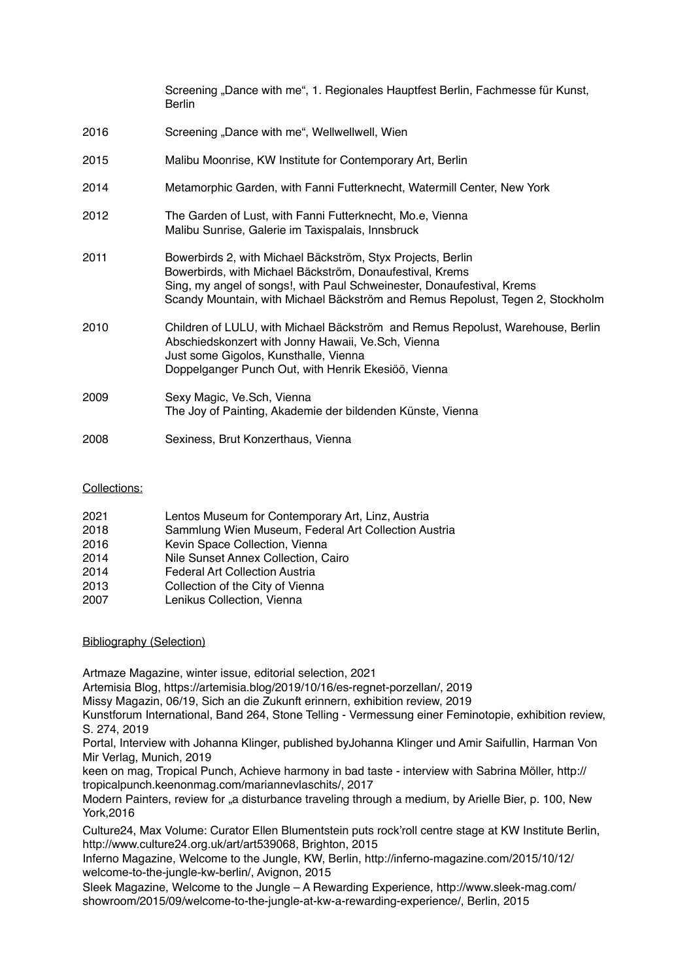|      | Screening "Dance with me", 1. Regionales Hauptfest Berlin, Fachmesse für Kunst,<br><b>Berlin</b>                                                                                                                                                                                    |
|------|-------------------------------------------------------------------------------------------------------------------------------------------------------------------------------------------------------------------------------------------------------------------------------------|
| 2016 | Screening "Dance with me", Wellwellwell, Wien                                                                                                                                                                                                                                       |
| 2015 | Malibu Moonrise, KW Institute for Contemporary Art, Berlin                                                                                                                                                                                                                          |
| 2014 | Metamorphic Garden, with Fanni Futterknecht, Watermill Center, New York                                                                                                                                                                                                             |
| 2012 | The Garden of Lust, with Fanni Futterknecht, Mo.e, Vienna<br>Malibu Sunrise, Galerie im Taxispalais, Innsbruck                                                                                                                                                                      |
| 2011 | Bowerbirds 2, with Michael Bäckström, Styx Projects, Berlin<br>Bowerbirds, with Michael Bäckström, Donaufestival, Krems<br>Sing, my angel of songs!, with Paul Schweinester, Donaufestival, Krems<br>Scandy Mountain, with Michael Bäckström and Remus Repolust, Tegen 2, Stockholm |
| 2010 | Children of LULU, with Michael Bäckström and Remus Repolust, Warehouse, Berlin<br>Abschiedskonzert with Jonny Hawaii, Ve.Sch, Vienna<br>Just some Gigolos, Kunsthalle, Vienna<br>Doppelganger Punch Out, with Henrik Ekesiöö, Vienna                                                |
| 2009 | Sexy Magic, Ve.Sch, Vienna<br>The Joy of Painting, Akademie der bildenden Künste, Vienna                                                                                                                                                                                            |
| 2008 | Sexiness, Brut Konzerthaus, Vienna                                                                                                                                                                                                                                                  |

#### Collections:

| 2021 | Lentos Museum for Contemporary Art, Linz, Austria    |
|------|------------------------------------------------------|
| 2018 | Sammlung Wien Museum, Federal Art Collection Austria |
| 2016 | Kevin Space Collection, Vienna                       |
| 2014 | Nile Sunset Annex Collection, Cairo                  |
| 2014 | Federal Art Collection Austria                       |
| 2013 | Collection of the City of Vienna                     |
| 2007 | Lenikus Collection, Vienna                           |

### Bibliography (Selection)

Artmaze Magazine, winter issue, editorial selection, 2021

Artemisia Blog, [https://artemisia.blog/2019/10/16/es-regnet-porzellan/,](https://artemisia.blog/2019/10/16/es-regnet-porzellan/) 2019

Missy Magazin, 06/19, Sich an die Zukunft erinnern, exhibition review, 2019

Kunstforum International, Band 264, Stone Telling - Vermessung einer Feminotopie, exhibition review, S. 274, 2019

Portal, Interview with Johanna Klinger, published byJohanna Klinger und Amir Saifullin, Harman Von Mir Verlag, Munich, 2019

keen on mag, Tropical Punch, Achieve harmony in bad taste - interview with Sabrina Möller, [http://](http://tropicalpunch.keenonmag.com/mariannevlaschits/) [tropicalpunch.keenonmag.com/mariannevlaschits/,](http://tropicalpunch.keenonmag.com/mariannevlaschits/) 2017

Modern Painters, review for a disturbance traveling through a medium, by Arielle Bier, p. 100. New York,2016

Culture24, Max Volume: Curator Ellen Blumentstein puts rock'roll centre stage at KW Institute Berlin, http://www.culture24.org.uk/art/art539068, Brighton, 2015

Inferno Magazine, Welcome to the Jungle, KW, Berlin, http://inferno-magazine.com/2015/10/12/ welcome-to-the-jungle-kw-berlin/, Avignon, 2015

Sleek Magazine, Welcome to the Jungle – A Rewarding Experience, http://www.sleek-mag.com/ showroom/2015/09/welcome-to-the-jungle-at-kw-a-rewarding-experience/, Berlin, 2015